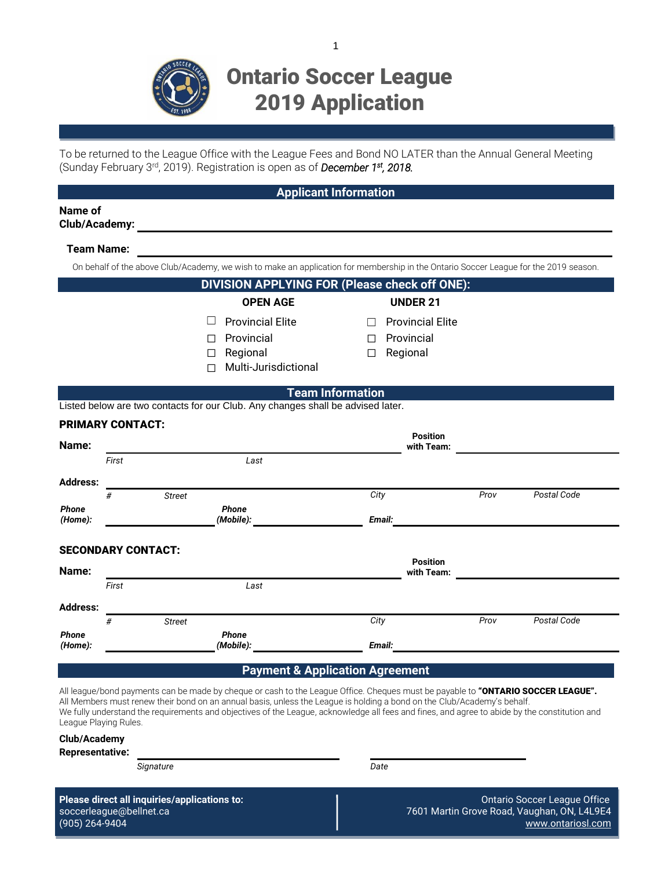

# Ontario Soccer League 2019 Application

1

To be returned to the League Office with the League Fees and Bond NO LATER than the Annual General Meeting (Sunday February 3rd , 2019). Registration is open as of *December 1st , 2018.*

|                         |                           |               | <b>Applicant Information</b>                                                                                                                                                                                                                   |                       |                                                     |      |             |
|-------------------------|---------------------------|---------------|------------------------------------------------------------------------------------------------------------------------------------------------------------------------------------------------------------------------------------------------|-----------------------|-----------------------------------------------------|------|-------------|
| Name of                 |                           |               |                                                                                                                                                                                                                                                |                       |                                                     |      |             |
| <b>Team Name:</b>       |                           |               |                                                                                                                                                                                                                                                |                       |                                                     |      |             |
|                         |                           |               | On behalf of the above Club/Academy, we wish to make an application for membership in the Ontario Soccer League for the 2019 season.                                                                                                           |                       |                                                     |      |             |
|                         |                           |               | DIVISION APPLYING FOR (Please check off ONE):                                                                                                                                                                                                  |                       |                                                     |      |             |
|                         |                           |               | <b>OPEN AGE</b>                                                                                                                                                                                                                                |                       | <b>UNDER 21</b>                                     |      |             |
|                         |                           | ப<br>П<br>П   | <b>Provincial Elite</b><br>Provincial<br>Regional<br>Multi-Jurisdictional                                                                                                                                                                      | $\Box$<br>$\Box$<br>П | <b>Provincial Elite</b><br>Provincial<br>Regional   |      |             |
|                         |                           |               | <b>Team Information</b>                                                                                                                                                                                                                        |                       |                                                     |      |             |
|                         |                           |               | Listed below are two contacts for our Club. Any changes shall be advised later.                                                                                                                                                                |                       |                                                     |      |             |
| Name:                   | <b>PRIMARY CONTACT:</b>   |               | <b>Position</b><br>with Team:                                                                                                                                                                                                                  |                       |                                                     |      |             |
|                         | First                     |               | Last                                                                                                                                                                                                                                           |                       |                                                     |      |             |
| <b>Address:</b>         |                           |               |                                                                                                                                                                                                                                                |                       |                                                     |      |             |
| <b>Phone</b><br>(Home): | #                         | <b>Street</b> | <b>Phone</b><br>(Mobile): with a series of the series of the series of the series of the series of the series of the series of the series of the series of the series of the series of the series of the series of the series of the series of | City                  |                                                     | Prov | Postal Code |
|                         | <b>SECONDARY CONTACT:</b> |               |                                                                                                                                                                                                                                                |                       |                                                     |      |             |
| Name:                   | First                     |               | Last                                                                                                                                                                                                                                           |                       | <b>Position</b><br>with Team: _____________________ |      |             |
| <b>Address:</b>         |                           |               |                                                                                                                                                                                                                                                |                       |                                                     |      |             |
| <b>Phone</b><br>(Home): | #                         | <b>Street</b> | <b>Phone</b><br>(Mobile):                                                                                                                                                                                                                      | City                  | Email:                                              | Prov | Postal Code |
|                         |                           |               | <b>Payment &amp; Application Agreement</b>                                                                                                                                                                                                     |                       |                                                     |      |             |

All league/bond payments can be made by cheque or cash to the League Office. Cheques must be payable to "ONTARIO SOCCER LEAGUE". All Members must renew their bond on an annual basis, unless the League is holding a bond on the Club/Academy's behalf. We fully understand the requirements and objectives of the League, acknowledge all fees and fines, and agree to abide by the constitution and League Playing Rules.

|  | <b>Club/Academy</b> |  |
|--|---------------------|--|
|--|---------------------|--|

| <b>Representative:</b> |
|------------------------|
|------------------------|

*Signature Date*

**Please direct all inquiries/applications to: Calcular Contart Contart Contart Contart Contart Contart Contart Contart Contart Contart Contart Contart Contart Contart Contart Contart Contart Contart Contart Contart Conta** soccerleague@bellnet.ca 7601 Martin Grove Road, Vaughan, ON, L4L9E4 (905) 264-9404 www.ontariosl.com